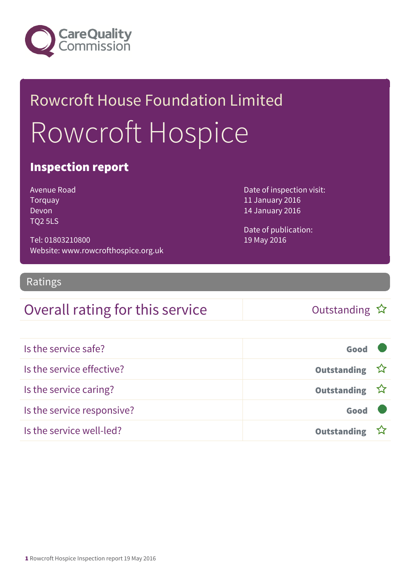

# Rowcroft House Foundation Limited Rowcroft Hospice

### Inspection report

Avenue Road Torquay Devon TQ2 5LS

Tel: 01803210800 Website: www.rowcrofthospice.org.uk Date of inspection visit: 11 January 2016 14 January 2016

Date of publication: 19 May 2016

#### Ratings

### Overall rating for this service  $\Box$  Outstanding  $\hat{x}$

| Is the service safe?       | Good               |  |
|----------------------------|--------------------|--|
| Is the service effective?  | Outstanding ☆      |  |
| Is the service caring?     | Outstanding ☆      |  |
| Is the service responsive? | Good               |  |
| Is the service well-led?   | <b>Outstanding</b> |  |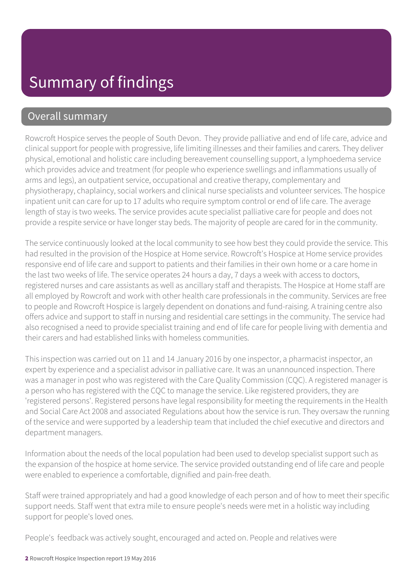### Overall summary

Rowcroft Hospice serves the people of South Devon. They provide palliative and end of life care, advice and clinical support for people with progressive, life limiting illnesses and their families and carers. They deliver physical, emotional and holistic care including bereavement counselling support, a lymphoedema service which provides advice and treatment (for people who experience swellings and inflammations usually of arms and legs), an outpatient service, occupational and creative therapy, complementary and physiotherapy, chaplaincy, social workers and clinical nurse specialists and volunteer services. The hospice inpatient unit can care for up to 17 adults who require symptom control or end of life care. The average length of stay is two weeks. The service provides acute specialist palliative care for people and does not provide a respite service or have longer stay beds. The majority of people are cared for in the community.

The service continuously looked at the local community to see how best they could provide the service. This had resulted in the provision of the Hospice at Home service. Rowcroft's Hospice at Home service provides responsive end of life care and support to patients and their families in their own home or a care home in the last two weeks of life. The service operates 24 hours a day, 7 days a week with access to doctors, registered nurses and care assistants as well as ancillary staff and therapists. The Hospice at Home staff are all employed by Rowcroft and work with other health care professionals in the community. Services are free to people and Rowcroft Hospice is largely dependent on donations and fund-raising. A training centre also offers advice and support to staff in nursing and residential care settings in the community. The service had also recognised a need to provide specialist training and end of life care for people living with dementia and their carers and had established links with homeless communities.

This inspection was carried out on 11 and 14 January 2016 by one inspector, a pharmacist inspector, an expert by experience and a specialist advisor in palliative care. It was an unannounced inspection. There was a manager in post who was registered with the Care Quality Commission (CQC). A registered manager is a person who has registered with the CQC to manage the service. Like registered providers, they are 'registered persons'. Registered persons have legal responsibility for meeting the requirements in the Health and Social Care Act 2008 and associated Regulations about how the service is run. They oversaw the running of the service and were supported by a leadership team that included the chief executive and directors and department managers.

Information about the needs of the local population had been used to develop specialist support such as the expansion of the hospice at home service. The service provided outstanding end of life care and people were enabled to experience a comfortable, dignified and pain-free death.

Staff were trained appropriately and had a good knowledge of each person and of how to meet their specific support needs. Staff went that extra mile to ensure people's needs were met in a holistic way including support for people's loved ones.

People's feedback was actively sought, encouraged and acted on. People and relatives were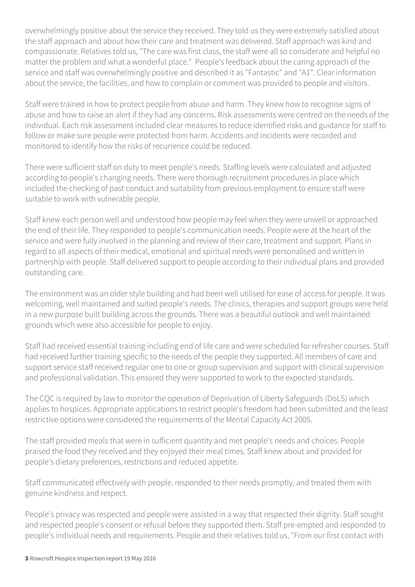overwhelmingly positive about the service they received. They told us they were extremely satisfied about the staff approach and about how their care and treatment was delivered. Staff approach was kind and compassionate. Relatives told us, "The care was first class, the staff were all so considerate and helpful no matter the problem and what a wonderful place." People's feedback about the caring approach of the service and staff was overwhelmingly positive and described it as "Fantastic" and "A1". Clear information about the service, the facilities, and how to complain or comment was provided to people and visitors.

Staff were trained in how to protect people from abuse and harm. They knew how to recognise signs of abuse and how to raise an alert if they had any concerns. Risk assessments were centred on the needs of the individual. Each risk assessment included clear measures to reduce identified risks and guidance for staff to follow or make sure people were protected from harm. Accidents and incidents were recorded and monitored to identify how the risks of recurrence could be reduced.

There were sufficient staff on duty to meet people's needs. Staffing levels were calculated and adjusted according to people's changing needs. There were thorough recruitment procedures in place which included the checking of past conduct and suitability from previous employment to ensure staff were suitable to work with vulnerable people.

Staff knew each person well and understood how people may feel when they were unwell or approached the end of their life. They responded to people's communication needs. People were at the heart of the service and were fully involved in the planning and review of their care, treatment and support. Plans in regard to all aspects of their medical, emotional and spiritual needs were personalised and written in partnership with people. Staff delivered support to people according to their individual plans and provided outstanding care.

The environment was an older style building and had been well utilised for ease of access for people. It was welcoming, well maintained and suited people's needs. The clinics, therapies and support groups were held in a new purpose built building across the grounds. There was a beautiful outlook and well maintained grounds which were also accessible for people to enjoy.

Staff had received essential training including end of life care and were scheduled for refresher courses. Staff had received further training specific to the needs of the people they supported. All members of care and support service staff received regular one to one or group supervision and support with clinical supervision and professional validation. This ensured they were supported to work to the expected standards.

The CQC is required by law to monitor the operation of Deprivation of Liberty Safeguards (DoLS) which applies to hospices. Appropriate applications to restrict people's freedom had been submitted and the least restrictive options were considered the requirements of the Mental Capacity Act 2005.

The staff provided meals that were in sufficient quantity and met people's needs and choices. People praised the food they received and they enjoyed their meal times. Staff knew about and provided for people's dietary preferences, restrictions and reduced appetite.

Staff communicated effectively with people, responded to their needs promptly, and treated them with genuine kindness and respect.

People's privacy was respected and people were assisted in a way that respected their dignity. Staff sought and respected people's consent or refusal before they supported them. Staff pre-empted and responded to people's individual needs and requirements. People and their relatives told us, "From our first contact with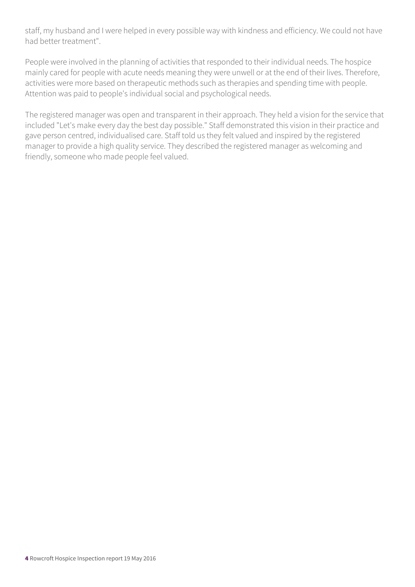staff, my husband and I were helped in every possible way with kindness and efficiency. We could not have had better treatment".

People were involved in the planning of activities that responded to their individual needs. The hospice mainly cared for people with acute needs meaning they were unwell or at the end of their lives. Therefore, activities were more based on therapeutic methods such as therapies and spending time with people. Attention was paid to people's individual social and psychological needs.

The registered manager was open and transparent in their approach. They held a vision for the service that included "Let's make every day the best day possible." Staff demonstrated this vision in their practice and gave person centred, individualised care. Staff told us they felt valued and inspired by the registered manager to provide a high quality service. They described the registered manager as welcoming and friendly, someone who made people feel valued.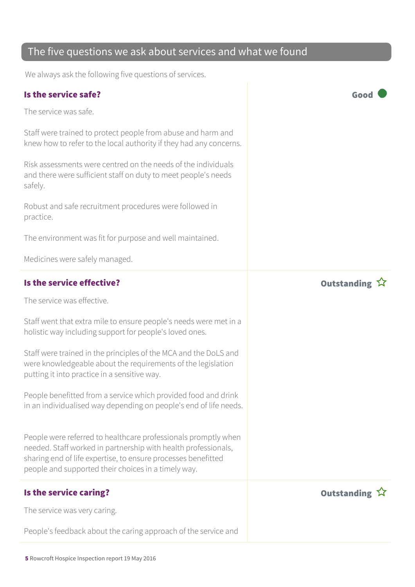### The five questions we ask about services and what we found

We always ask the following five questions of services.

#### Is the service safe? Good

The service was safe.

Staff were trained to protect people from abuse and harm and knew how to refer to the local authority if they had any concerns.

Risk assessments were centred on the needs of the individuals and there were sufficient staff on duty to meet people's needs safely.

Robust and safe recruitment procedures were followed in practice.

The environment was fit for purpose and well maintained.

Medicines were safely managed.

# Is the service effective? In the service effective? The service was effective.

Staff went that extra mile to ensure people's needs were met in a holistic way including support for people's loved ones.

Staff were trained in the principles of the MCA and the DoLS and were knowledgeable about the requirements of the legislation putting it into practice in a sensitive way.

People benefitted from a service which provided food and drink in an individualised way depending on people's end of life needs.

People were referred to healthcare professionals promptly when needed. Staff worked in partnership with health professionals, sharing end of life expertise, to ensure processes benefitted people and supported their choices in a timely way.

### Is the service caring? The service caring  $\hat{X}$

The service was very caring.

People's feedback about the caring approach of the service and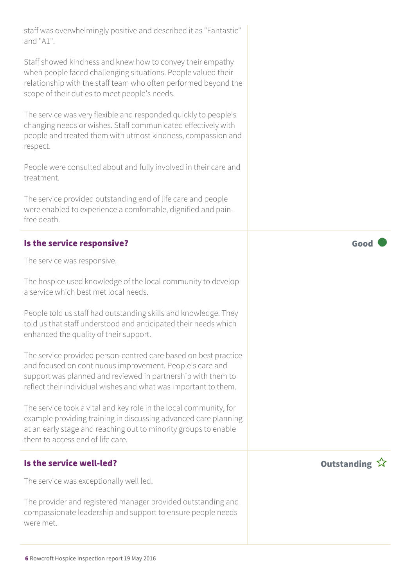staff was overwhelmingly positive and described it as "Fantastic" and "A1".

Staff showed kindness and knew how to convey their empathy when people faced challenging situations. People valued their relationship with the staff team who often performed beyond the scope of their duties to meet people's needs.

The service was very flexible and responded quickly to people's changing needs or wishes. Staff communicated effectively with people and treated them with utmost kindness, compassion and respect.

People were consulted about and fully involved in their care and treatment.

The service provided outstanding end of life care and people were enabled to experience a comfortable, dignified and painfree death.

#### Is the service responsive? The service responsive?

The service was responsive.

The hospice used knowledge of the local community to develop a service which best met local needs.

People told us staff had outstanding skills and knowledge. They told us that staff understood and anticipated their needs which enhanced the quality of their support.

The service provided person-centred care based on best practice and focused on continuous improvement. People's care and support was planned and reviewed in partnership with them to reflect their individual wishes and what was important to them.

The service took a vital and key role in the local community, for example providing training in discussing advanced care planning at an early stage and reaching out to minority groups to enable them to access end of life care.

#### Is the service well-led? Outstanding

The service was exceptionally well led.

The provider and registered manager provided outstanding and compassionate leadership and support to ensure people needs were met.

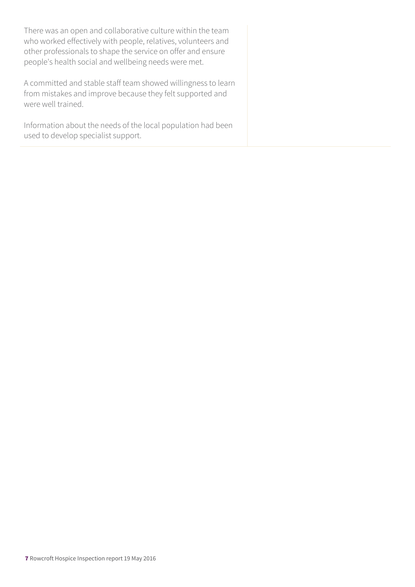There was an open and collaborative culture within the team who worked effectively with people, relatives, volunteers and other professionals to shape the service on offer and ensure people's health social and wellbeing needs were met.

A committed and stable staff team showed willingness to learn from mistakes and improve because they felt supported and were well trained.

Information about the needs of the local population had been used to develop specialist support.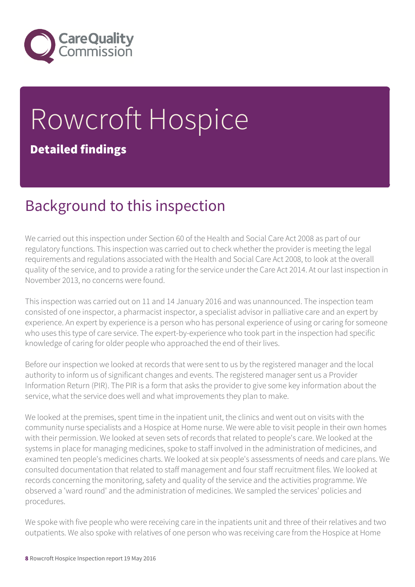

# Rowcroft Hospice Detailed findings

### Background to this inspection

We carried out this inspection under Section 60 of the Health and Social Care Act 2008 as part of our regulatory functions. This inspection was carried out to check whether the provider is meeting the legal requirements and regulations associated with the Health and Social Care Act 2008, to look at the overall quality of the service, and to provide a rating for the service under the Care Act 2014. At our last inspection in November 2013, no concerns were found.

This inspection was carried out on 11 and 14 January 2016 and was unannounced. The inspection team consisted of one inspector, a pharmacist inspector, a specialist advisor in palliative care and an expert by experience. An expert by experience is a person who has personal experience of using or caring for someone who uses this type of care service. The expert-by-experience who took part in the inspection had specific knowledge of caring for older people who approached the end of their lives.

Before our inspection we looked at records that were sent to us by the registered manager and the local authority to inform us of significant changes and events. The registered manager sent us a Provider Information Return (PIR). The PIR is a form that asks the provider to give some key information about the service, what the service does well and what improvements they plan to make.

We looked at the premises, spent time in the inpatient unit, the clinics and went out on visits with the community nurse specialists and a Hospice at Home nurse. We were able to visit people in their own homes with their permission. We looked at seven sets of records that related to people's care. We looked at the systems in place for managing medicines, spoke to staff involved in the administration of medicines, and examined ten people's medicines charts. We looked at six people's assessments of needs and care plans. We consulted documentation that related to staff management and four staff recruitment files. We looked at records concerning the monitoring, safety and quality of the service and the activities programme. We observed a 'ward round' and the administration of medicines. We sampled the services' policies and procedures.

We spoke with five people who were receiving care in the inpatients unit and three of their relatives and two outpatients. We also spoke with relatives of one person who was receiving care from the Hospice at Home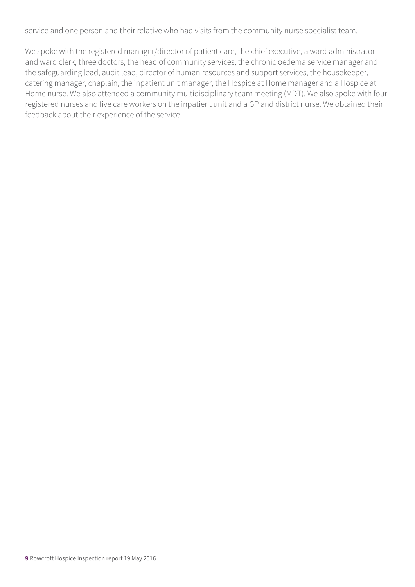service and one person and their relative who had visits from the community nurse specialist team.

We spoke with the registered manager/director of patient care, the chief executive, a ward administrator and ward clerk, three doctors, the head of community services, the chronic oedema service manager and the safeguarding lead, audit lead, director of human resources and support services, the housekeeper, catering manager, chaplain, the inpatient unit manager, the Hospice at Home manager and a Hospice at Home nurse. We also attended a community multidisciplinary team meeting (MDT). We also spoke with four registered nurses and five care workers on the inpatient unit and a GP and district nurse. We obtained their feedback about their experience of the service.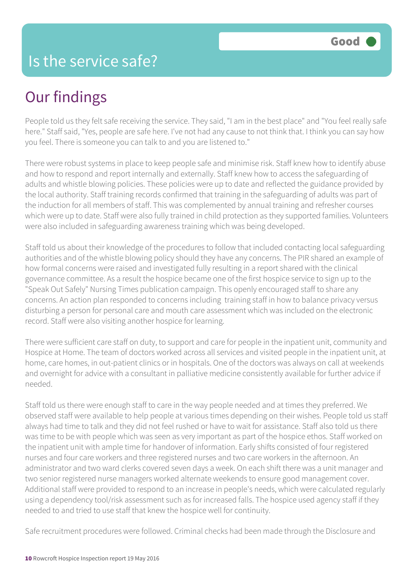## Our findings

People told us they felt safe receiving the service. They said, "I am in the best place" and "You feel really safe here." Staff said, "Yes, people are safe here. I've not had any cause to not think that. I think you can say how you feel. There is someone you can talk to and you are listened to."

There were robust systems in place to keep people safe and minimise risk. Staff knew how to identify abuse and how to respond and report internally and externally. Staff knew how to access the safeguarding of adults and whistle blowing policies. These policies were up to date and reflected the guidance provided by the local authority. Staff training records confirmed that training in the safeguarding of adults was part of the induction for all members of staff. This was complemented by annual training and refresher courses which were up to date. Staff were also fully trained in child protection as they supported families. Volunteers were also included in safeguarding awareness training which was being developed.

Staff told us about their knowledge of the procedures to follow that included contacting local safeguarding authorities and of the whistle blowing policy should they have any concerns. The PIR shared an example of how formal concerns were raised and investigated fully resulting in a report shared with the clinical governance committee. As a result the hospice became one of the first hospice service to sign up to the "Speak Out Safely" Nursing Times publication campaign. This openly encouraged staff to share any concerns. An action plan responded to concerns including training staff in how to balance privacy versus disturbing a person for personal care and mouth care assessment which was included on the electronic record. Staff were also visiting another hospice for learning.

There were sufficient care staff on duty, to support and care for people in the inpatient unit, community and Hospice at Home. The team of doctors worked across all services and visited people in the inpatient unit, at home, care homes, in out-patient clinics or in hospitals. One of the doctors was always on call at weekends and overnight for advice with a consultant in palliative medicine consistently available for further advice if needed.

Staff told us there were enough staff to care in the way people needed and at times they preferred. We observed staff were available to help people at various times depending on their wishes. People told us staff always had time to talk and they did not feel rushed or have to wait for assistance. Staff also told us there was time to be with people which was seen as very important as part of the hospice ethos. Staff worked on the inpatient unit with ample time for handover of information. Early shifts consisted of four registered nurses and four care workers and three registered nurses and two care workers in the afternoon. An administrator and two ward clerks covered seven days a week. On each shift there was a unit manager and two senior registered nurse managers worked alternate weekends to ensure good management cover. Additional staff were provided to respond to an increase in people's needs, which were calculated regularly using a dependency tool/risk assessment such as for increased falls. The hospice used agency staff if they needed to and tried to use staff that knew the hospice well for continuity.

Safe recruitment procedures were followed. Criminal checks had been made through the Disclosure and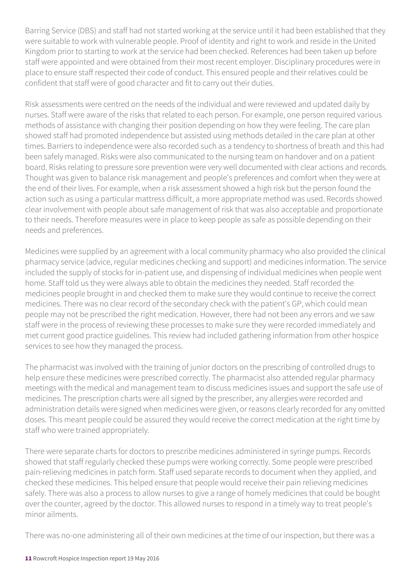Barring Service (DBS) and staff had not started working at the service until it had been established that they were suitable to work with vulnerable people. Proof of identity and right to work and reside in the United Kingdom prior to starting to work at the service had been checked. References had been taken up before staff were appointed and were obtained from their most recent employer. Disciplinary procedures were in place to ensure staff respected their code of conduct. This ensured people and their relatives could be confident that staff were of good character and fit to carry out their duties.

Risk assessments were centred on the needs of the individual and were reviewed and updated daily by nurses. Staff were aware of the risks that related to each person. For example, one person required various methods of assistance with changing their position depending on how they were feeling. The care plan showed staff had promoted independence but assisted using methods detailed in the care plan at other times. Barriers to independence were also recorded such as a tendency to shortness of breath and this had been safely managed. Risks were also communicated to the nursing team on handover and on a patient board. Risks relating to pressure sore prevention were very well documented with clear actions and records. Thought was given to balance risk management and people's preferences and comfort when they were at the end of their lives. For example, when a risk assessment showed a high risk but the person found the action such as using a particular mattress difficult, a more appropriate method was used. Records showed clear involvement with people about safe management of risk that was also acceptable and proportionate to their needs. Therefore measures were in place to keep people as safe as possible depending on their needs and preferences.

Medicines were supplied by an agreement with a local community pharmacy who also provided the clinical pharmacy service (advice, regular medicines checking and support) and medicines information. The service included the supply of stocks for in-patient use, and dispensing of individual medicines when people went home. Staff told us they were always able to obtain the medicines they needed. Staff recorded the medicines people brought in and checked them to make sure they would continue to receive the correct medicines. There was no clear record of the secondary check with the patient's GP, which could mean people may not be prescribed the right medication. However, there had not been any errors and we saw staff were in the process of reviewing these processes to make sure they were recorded immediately and met current good practice guidelines. This review had included gathering information from other hospice services to see how they managed the process.

The pharmacist was involved with the training of junior doctors on the prescribing of controlled drugs to help ensure these medicines were prescribed correctly. The pharmacist also attended regular pharmacy meetings with the medical and management team to discuss medicines issues and support the safe use of medicines. The prescription charts were all signed by the prescriber, any allergies were recorded and administration details were signed when medicines were given, or reasons clearly recorded for any omitted doses. This meant people could be assured they would receive the correct medication at the right time by staff who were trained appropriately.

There were separate charts for doctors to prescribe medicines administered in syringe pumps. Records showed that staff regularly checked these pumps were working correctly. Some people were prescribed pain-relieving medicines in patch form. Staff used separate records to document when they applied, and checked these medicines. This helped ensure that people would receive their pain relieving medicines safely. There was also a process to allow nurses to give a range of homely medicines that could be bought over the counter, agreed by the doctor. This allowed nurses to respond in a timely way to treat people's minor ailments.

There was no-one administering all of their own medicines at the time of our inspection, but there was a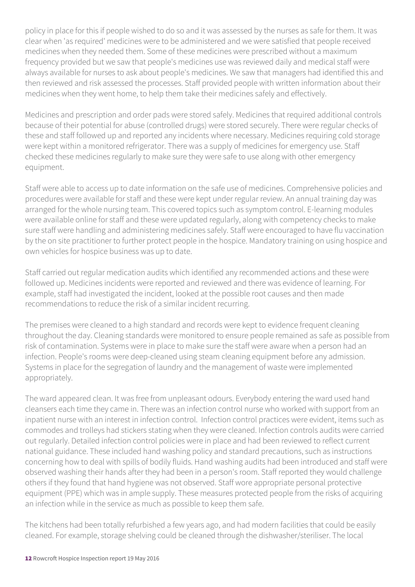policy in place for this if people wished to do so and it was assessed by the nurses as safe for them. It was clear when 'as required' medicines were to be administered and we were satisfied that people received medicines when they needed them. Some of these medicines were prescribed without a maximum frequency provided but we saw that people's medicines use was reviewed daily and medical staff were always available for nurses to ask about people's medicines. We saw that managers had identified this and then reviewed and risk assessed the processes. Staff provided people with written information about their medicines when they went home, to help them take their medicines safely and effectively.

Medicines and prescription and order pads were stored safely. Medicines that required additional controls because of their potential for abuse (controlled drugs) were stored securely. There were regular checks of these and staff followed up and reported any incidents where necessary. Medicines requiring cold storage were kept within a monitored refrigerator. There was a supply of medicines for emergency use. Staff checked these medicines regularly to make sure they were safe to use along with other emergency equipment.

Staff were able to access up to date information on the safe use of medicines. Comprehensive policies and procedures were available for staff and these were kept under regular review. An annual training day was arranged for the whole nursing team. This covered topics such as symptom control. E-learning modules were available online for staff and these were updated regularly, along with competency checks to make sure staff were handling and administering medicines safely. Staff were encouraged to have flu vaccination by the on site practitioner to further protect people in the hospice. Mandatory training on using hospice and own vehicles for hospice business was up to date.

Staff carried out regular medication audits which identified any recommended actions and these were followed up. Medicines incidents were reported and reviewed and there was evidence of learning. For example, staff had investigated the incident, looked at the possible root causes and then made recommendations to reduce the risk of a similar incident recurring.

The premises were cleaned to a high standard and records were kept to evidence frequent cleaning throughout the day. Cleaning standards were monitored to ensure people remained as safe as possible from risk of contamination. Systems were in place to make sure the staff were aware when a person had an infection. People's rooms were deep-cleaned using steam cleaning equipment before any admission. Systems in place for the segregation of laundry and the management of waste were implemented appropriately.

The ward appeared clean. It was free from unpleasant odours. Everybody entering the ward used hand cleansers each time they came in. There was an infection control nurse who worked with support from an inpatient nurse with an interest in infection control. Infection control practices were evident, items such as commodes and trolleys had stickers stating when they were cleaned. Infection controls audits were carried out regularly. Detailed infection control policies were in place and had been reviewed to reflect current national guidance. These included hand washing policy and standard precautions, such as instructions concerning how to deal with spills of bodily fluids. Hand washing audits had been introduced and staff were observed washing their hands after they had been in a person's room. Staff reported they would challenge others if they found that hand hygiene was not observed. Staff wore appropriate personal protective equipment (PPE) which was in ample supply. These measures protected people from the risks of acquiring an infection while in the service as much as possible to keep them safe.

The kitchens had been totally refurbished a few years ago, and had modern facilities that could be easily cleaned. For example, storage shelving could be cleaned through the dishwasher/steriliser. The local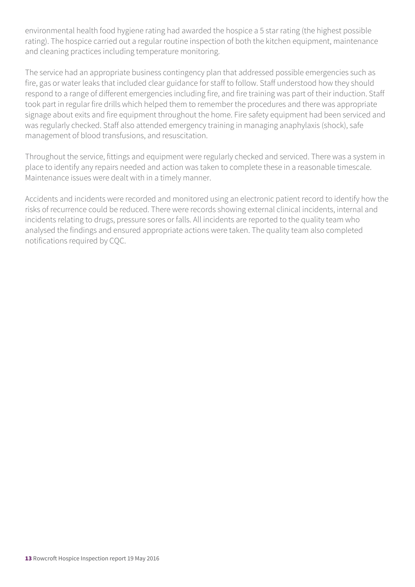environmental health food hygiene rating had awarded the hospice a 5 star rating (the highest possible rating). The hospice carried out a regular routine inspection of both the kitchen equipment, maintenance and cleaning practices including temperature monitoring.

The service had an appropriate business contingency plan that addressed possible emergencies such as fire, gas or water leaks that included clear guidance for staff to follow. Staff understood how they should respond to a range of different emergencies including fire, and fire training was part of their induction. Staff took part in regular fire drills which helped them to remember the procedures and there was appropriate signage about exits and fire equipment throughout the home. Fire safety equipment had been serviced and was regularly checked. Staff also attended emergency training in managing anaphylaxis (shock), safe management of blood transfusions, and resuscitation.

Throughout the service, fittings and equipment were regularly checked and serviced. There was a system in place to identify any repairs needed and action was taken to complete these in a reasonable timescale. Maintenance issues were dealt with in a timely manner.

Accidents and incidents were recorded and monitored using an electronic patient record to identify how the risks of recurrence could be reduced. There were records showing external clinical incidents, internal and incidents relating to drugs, pressure sores or falls. All incidents are reported to the quality team who analysed the findings and ensured appropriate actions were taken. The quality team also completed notifications required by CQC.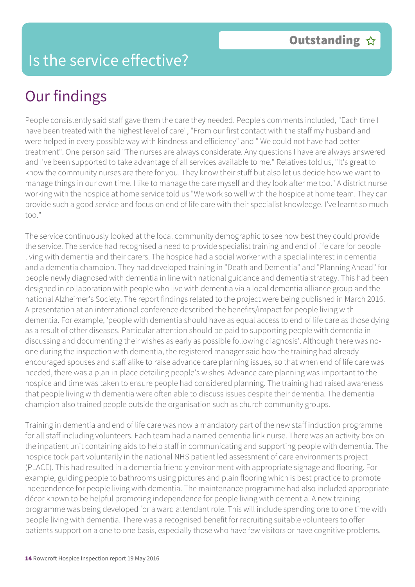### Is the service effective?

## Our findings

People consistently said staff gave them the care they needed. People's comments included, "Each time I have been treated with the highest level of care", "From our first contact with the staff my husband and I were helped in every possible way with kindness and efficiency" and " We could not have had better treatment". One person said "The nurses are always considerate. Any questions I have are always answered and I've been supported to take advantage of all services available to me." Relatives told us, "It's great to know the community nurses are there for you. They know their stuff but also let us decide how we want to manage things in our own time. I like to manage the care myself and they look after me too." A district nurse working with the hospice at home service told us "We work so well with the hospice at home team. They can provide such a good service and focus on end of life care with their specialist knowledge. I've learnt so much too."

The service continuously looked at the local community demographic to see how best they could provide the service. The service had recognised a need to provide specialist training and end of life care for people living with dementia and their carers. The hospice had a social worker with a special interest in dementia and a dementia champion. They had developed training in "Death and Dementia" and "Planning Ahead" for people newly diagnosed with dementia in line with national guidance and dementia strategy. This had been designed in collaboration with people who live with dementia via a local dementia alliance group and the national Alzheimer's Society. The report findings related to the project were being published in March 2016. A presentation at an international conference described the benefits/impact for people living with dementia. For example, 'people with dementia should have as equal access to end of life care as those dying as a result of other diseases. Particular attention should be paid to supporting people with dementia in discussing and documenting their wishes as early as possible following diagnosis'. Although there was noone during the inspection with dementia, the registered manager said how the training had already encouraged spouses and staff alike to raise advance care planning issues, so that when end of life care was needed, there was a plan in place detailing people's wishes. Advance care planning was important to the hospice and time was taken to ensure people had considered planning. The training had raised awareness that people living with dementia were often able to discuss issues despite their dementia. The dementia champion also trained people outside the organisation such as church community groups.

Training in dementia and end of life care was now a mandatory part of the new staff induction programme for all staff including volunteers. Each team had a named dementia link nurse. There was an activity box on the inpatient unit containing aids to help staff in communicating and supporting people with dementia. The hospice took part voluntarily in the national NHS patient led assessment of care environments project (PLACE). This had resulted in a dementia friendly environment with appropriate signage and flooring. For example, guiding people to bathrooms using pictures and plain flooring which is best practice to promote independence for people living with dementia. The maintenance programme had also included appropriate décor known to be helpful promoting independence for people living with dementia. A new training programme was being developed for a ward attendant role. This will include spending one to one time with people living with dementia. There was a recognised benefit for recruiting suitable volunteers to offer patients support on a one to one basis, especially those who have few visitors or have cognitive problems.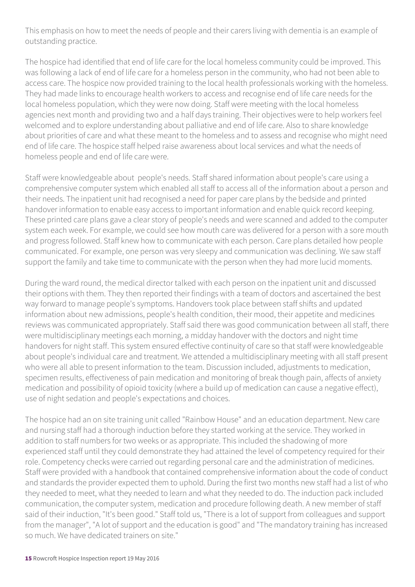This emphasis on how to meet the needs of people and their carers living with dementia is an example of outstanding practice.

The hospice had identified that end of life care for the local homeless community could be improved. This was following a lack of end of life care for a homeless person in the community, who had not been able to access care. The hospice now provided training to the local health professionals working with the homeless. They had made links to encourage health workers to access and recognise end of life care needs for the local homeless population, which they were now doing. Staff were meeting with the local homeless agencies next month and providing two and a half days training. Their objectives were to help workers feel welcomed and to explore understanding about palliative and end of life care. Also to share knowledge about priorities of care and what these meant to the homeless and to assess and recognise who might need end of life care. The hospice staff helped raise awareness about local services and what the needs of homeless people and end of life care were.

Staff were knowledgeable about people's needs. Staff shared information about people's care using a comprehensive computer system which enabled all staff to access all of the information about a person and their needs. The inpatient unit had recognised a need for paper care plans by the bedside and printed handover information to enable easy access to important information and enable quick record keeping. These printed care plans gave a clear story of people's needs and were scanned and added to the computer system each week. For example, we could see how mouth care was delivered for a person with a sore mouth and progress followed. Staff knew how to communicate with each person. Care plans detailed how people communicated. For example, one person was very sleepy and communication was declining. We saw staff support the family and take time to communicate with the person when they had more lucid moments.

During the ward round, the medical director talked with each person on the inpatient unit and discussed their options with them. They then reported their findings with a team of doctors and ascertained the best way forward to manage people's symptoms. Handovers took place between staff shifts and updated information about new admissions, people's health condition, their mood, their appetite and medicines reviews was communicated appropriately. Staff said there was good communication between all staff, there were multidisciplinary meetings each morning, a midday handover with the doctors and night time handovers for night staff. This system ensured effective continuity of care so that staff were knowledgeable about people's individual care and treatment. We attended a multidisciplinary meeting with all staff present who were all able to present information to the team. Discussion included, adjustments to medication, specimen results, effectiveness of pain medication and monitoring of break though pain, affects of anxiety medication and possibility of opioid toxicity (where a build up of medication can cause a negative effect), use of night sedation and people's expectations and choices.

The hospice had an on site training unit called "Rainbow House" and an education department. New care and nursing staff had a thorough induction before they started working at the service. They worked in addition to staff numbers for two weeks or as appropriate. This included the shadowing of more experienced staff until they could demonstrate they had attained the level of competency required for their role. Competency checks were carried out regarding personal care and the administration of medicines. Staff were provided with a handbook that contained comprehensive information about the code of conduct and standards the provider expected them to uphold. During the first two months new staff had a list of who they needed to meet, what they needed to learn and what they needed to do. The induction pack included communication, the computer system, medication and procedure following death. A new member of staff said of their induction, "It's been good." Staff told us, "There is a lot of support from colleagues and support from the manager", "A lot of support and the education is good" and "The mandatory training has increased so much. We have dedicated trainers on site."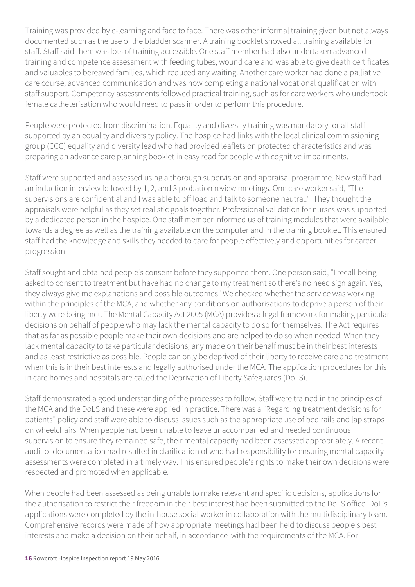Training was provided by e-learning and face to face. There was other informal training given but not always documented such as the use of the bladder scanner. A training booklet showed all training available for staff. Staff said there was lots of training accessible. One staff member had also undertaken advanced training and competence assessment with feeding tubes, wound care and was able to give death certificates and valuables to bereaved families, which reduced any waiting. Another care worker had done a palliative care course, advanced communication and was now completing a national vocational qualification with staff support. Competency assessments followed practical training, such as for care workers who undertook female catheterisation who would need to pass in order to perform this procedure.

People were protected from discrimination. Equality and diversity training was mandatory for all staff supported by an equality and diversity policy. The hospice had links with the local clinical commissioning group (CCG) equality and diversity lead who had provided leaflets on protected characteristics and was preparing an advance care planning booklet in easy read for people with cognitive impairments.

Staff were supported and assessed using a thorough supervision and appraisal programme. New staff had an induction interview followed by 1, 2, and 3 probation review meetings. One care worker said, "The supervisions are confidential and I was able to off load and talk to someone neutral." They thought the appraisals were helpful as they set realistic goals together. Professional validation for nurses was supported by a dedicated person in the hospice. One staff member informed us of training modules that were available towards a degree as well as the training available on the computer and in the training booklet. This ensured staff had the knowledge and skills they needed to care for people effectively and opportunities for career progression.

Staff sought and obtained people's consent before they supported them. One person said, "I recall being asked to consent to treatment but have had no change to my treatment so there's no need sign again. Yes, they always give me explanations and possible outcomes" We checked whether the service was working within the principles of the MCA, and whether any conditions on authorisations to deprive a person of their liberty were being met. The Mental Capacity Act 2005 (MCA) provides a legal framework for making particular decisions on behalf of people who may lack the mental capacity to do so for themselves. The Act requires that as far as possible people make their own decisions and are helped to do so when needed. When they lack mental capacity to take particular decisions, any made on their behalf must be in their best interests and as least restrictive as possible. People can only be deprived of their liberty to receive care and treatment when this is in their best interests and legally authorised under the MCA. The application procedures for this in care homes and hospitals are called the Deprivation of Liberty Safeguards (DoLS).

Staff demonstrated a good understanding of the processes to follow. Staff were trained in the principles of the MCA and the DoLS and these were applied in practice. There was a "Regarding treatment decisions for patients" policy and staff were able to discuss issues such as the appropriate use of bed rails and lap straps on wheelchairs. When people had been unable to leave unaccompanied and needed continuous supervision to ensure they remained safe, their mental capacity had been assessed appropriately. A recent audit of documentation had resulted in clarification of who had responsibility for ensuring mental capacity assessments were completed in a timely way. This ensured people's rights to make their own decisions were respected and promoted when applicable.

When people had been assessed as being unable to make relevant and specific decisions, applications for the authorisation to restrict their freedom in their best interest had been submitted to the DoLS office. DoL's applications were completed by the in-house social worker in collaboration with the multidisciplinary team. Comprehensive records were made of how appropriate meetings had been held to discuss people's best interests and make a decision on their behalf, in accordance with the requirements of the MCA. For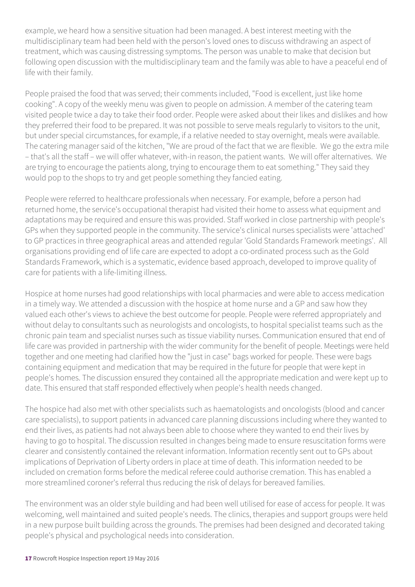example, we heard how a sensitive situation had been managed. A best interest meeting with the multidisciplinary team had been held with the person's loved ones to discuss withdrawing an aspect of treatment, which was causing distressing symptoms. The person was unable to make that decision but following open discussion with the multidisciplinary team and the family was able to have a peaceful end of life with their family.

People praised the food that was served; their comments included, "Food is excellent, just like home cooking". A copy of the weekly menu was given to people on admission. A member of the catering team visited people twice a day to take their food order. People were asked about their likes and dislikes and how they preferred their food to be prepared. It was not possible to serve meals regularly to visitors to the unit, but under special circumstances, for example, if a relative needed to stay overnight, meals were available. The catering manager said of the kitchen, "We are proud of the fact that we are flexible. We go the extra mile – that's all the staff – we will offer whatever, with-in reason, the patient wants. We will offer alternatives. We are trying to encourage the patients along, trying to encourage them to eat something." They said they would pop to the shops to try and get people something they fancied eating.

People were referred to healthcare professionals when necessary. For example, before a person had returned home, the service's occupational therapist had visited their home to assess what equipment and adaptations may be required and ensure this was provided. Staff worked in close partnership with people's GPs when they supported people in the community. The service's clinical nurses specialists were 'attached' to GP practices in three geographical areas and attended regular 'Gold Standards Framework meetings'. All organisations providing end of life care are expected to adopt a co-ordinated process such as the Gold Standards Framework, which is a systematic, evidence based approach, developed to improve quality of care for patients with a life-limiting illness.

Hospice at home nurses had good relationships with local pharmacies and were able to access medication in a timely way. We attended a discussion with the hospice at home nurse and a GP and saw how they valued each other's views to achieve the best outcome for people. People were referred appropriately and without delay to consultants such as neurologists and oncologists, to hospital specialist teams such as the chronic pain team and specialist nurses such as tissue viability nurses. Communication ensured that end of life care was provided in partnership with the wider community for the benefit of people. Meetings were held together and one meeting had clarified how the "just in case" bags worked for people. These were bags containing equipment and medication that may be required in the future for people that were kept in people's homes. The discussion ensured they contained all the appropriate medication and were kept up to date. This ensured that staff responded effectively when people's health needs changed.

The hospice had also met with other specialists such as haematologists and oncologists (blood and cancer care specialists), to support patients in advanced care planning discussions including where they wanted to end their lives, as patients had not always been able to choose where they wanted to end their lives by having to go to hospital. The discussion resulted in changes being made to ensure resuscitation forms were clearer and consistently contained the relevant information. Information recently sent out to GPs about implications of Deprivation of Liberty orders in place at time of death. This information needed to be included on cremation forms before the medical referee could authorise cremation. This has enabled a more streamlined coroner's referral thus reducing the risk of delays for bereaved families.

The environment was an older style building and had been well utilised for ease of access for people. It was welcoming, well maintained and suited people's needs. The clinics, therapies and support groups were held in a new purpose built building across the grounds. The premises had been designed and decorated taking people's physical and psychological needs into consideration.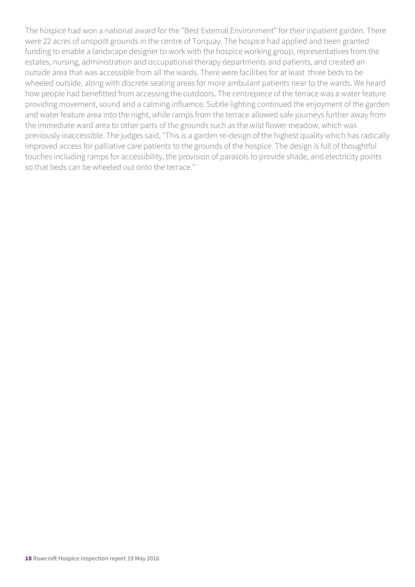The hospice had won a national award for the "Best External Environment" for their inpatient garden. There were 22 acres of unspoilt grounds in the centre of Torquay. The hospice had applied and been granted funding to enable a landscape designer to work with the hospice working group, representatives from the estates, nursing, administration and occupational therapy departments and patients, and created an outside area that was accessible from all the wards. There were facilities for at least three beds to be wheeled outside, along with discrete seating areas for more ambulant patients near to the wards. We heard how people had benefitted from accessing the outdoors. The centrepiece of the terrace was a water feature providing movement, sound and a calming influence. Subtle lighting continued the enjoyment of the garden and water feature area into the night, while ramps from the terrace allowed safe journeys further away from the immediate ward area to other parts of the grounds such as the wild flower meadow, which was previously inaccessible. The judges said, "This is a garden re-design of the highest quality which has radically improved access for palliative care patients to the grounds of the hospice. The design is full of thoughtful touches including ramps for accessibility, the provision of parasols to provide shade, and electricity points so that beds can be wheeled out onto the terrace."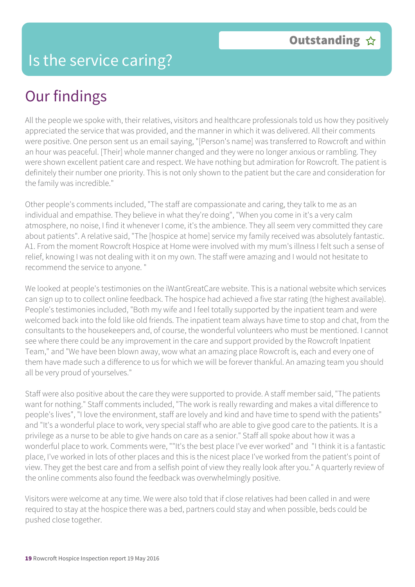# Our findings

All the people we spoke with, their relatives, visitors and healthcare professionals told us how they positively appreciated the service that was provided, and the manner in which it was delivered. All their comments were positive. One person sent us an email saying, "[Person's name] was transferred to Rowcroft and within an hour was peaceful. [Their] whole manner changed and they were no longer anxious or rambling. They were shown excellent patient care and respect. We have nothing but admiration for Rowcroft. The patient is definitely their number one priority. This is not only shown to the patient but the care and consideration for the family was incredible."

Other people's comments included, "The staff are compassionate and caring, they talk to me as an individual and empathise. They believe in what they're doing", "When you come in it's a very calm atmosphere, no noise, I find it whenever I come, it's the ambience. They all seem very committed they care about patients". A relative said, "The [hospice at home] service my family received was absolutely fantastic. A1. From the moment Rowcroft Hospice at Home were involved with my mum's illness I felt such a sense of relief, knowing I was not dealing with it on my own. The staff were amazing and I would not hesitate to recommend the service to anyone. "

We looked at people's testimonies on the iWantGreatCare website. This is a national website which services can sign up to to collect online feedback. The hospice had achieved a five star rating (the highest available). People's testimonies included, "Both my wife and I feel totally supported by the inpatient team and were welcomed back into the fold like old friends. The inpatient team always have time to stop and chat, from the consultants to the housekeepers and, of course, the wonderful volunteers who must be mentioned. I cannot see where there could be any improvement in the care and support provided by the Rowcroft Inpatient Team," and "We have been blown away, wow what an amazing place Rowcroft is, each and every one of them have made such a difference to us for which we will be forever thankful. An amazing team you should all be very proud of yourselves."

Staff were also positive about the care they were supported to provide. A staff member said, "The patients want for nothing." Staff comments included, "The work is really rewarding and makes a vital difference to people's lives", "I love the environment, staff are lovely and kind and have time to spend with the patients" and "It's a wonderful place to work, very special staff who are able to give good care to the patients. It is a privilege as a nurse to be able to give hands on care as a senior." Staff all spoke about how it was a wonderful place to work. Comments were, ""It's the best place I've ever worked" and "I think it is a fantastic place, I've worked in lots of other places and this is the nicest place I've worked from the patient's point of view. They get the best care and from a selfish point of view they really look after you." A quarterly review of the online comments also found the feedback was overwhelmingly positive.

Visitors were welcome at any time. We were also told that if close relatives had been called in and were required to stay at the hospice there was a bed, partners could stay and when possible, beds could be pushed close together.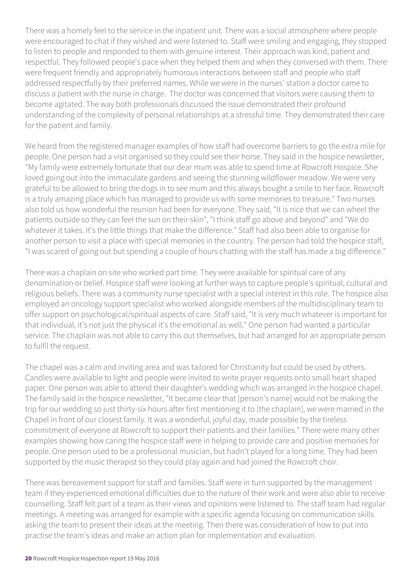There was a homely feel to the service in the inpatient unit. There was a social atmosphere where people were encouraged to chat if they wished and were listened to. Staff were smiling and engaging, they stopped to listen to people and responded to them with genuine interest. Their approach was kind, patient and respectful. They followed people's pace when they helped them and when they conversed with them. There were frequent friendly and appropriately humorous interactions between staff and people who staff addressed respectfully by their preferred names. While we were in the nurses' station a doctor came to discuss a patient with the nurse in charge. The doctor was concerned that visitors were causing them to become agitated. The way both professionals discussed the issue demonstrated their profound understanding of the complexity of personal relationships at a stressful time. They demonstrated their care for the patient and family.

We heard from the registered manager examples of how staff had overcome barriers to go the extra mile for people. One person had a visit organised so they could see their horse. They said in the hospice newsletter, "My family were extremely fortunate that our dear mum was able to spend time at Rowcroft Hospice. She loved going out into the immaculate gardens and seeing the stunning wildflower meadow. We were very grateful to be allowed to bring the dogs in to see mum and this always bought a smile to her face. Rowcroft is a truly amazing place which has managed to provide us with some memories to treasure." Two nurses also told us how wonderful the reunion had been for everyone. They said, "It is nice that we can wheel the patients outside so they can feel the sun on their skin", "I think staff go above and beyond" and "We do whatever it takes. It's the little things that make the difference." Staff had also been able to organise for another person to visit a place with special memories in the country. The person had told the hospice staff, "I was scared of going out but spending a couple of hours chatting with the staff has made a big difference."

There was a chaplain on site who worked part time. They were available for spiritual care of any denomination or belief. Hospice staff were looking at further ways to capture people's spiritual, cultural and religious beliefs. There was a community nurse specialist with a special interest in this role. The hospice also employed an oncology support specialist who worked alongside members of the multidisciplinary team to offer support on psychological/spiritual aspects of care. Staff said, "It is very much whatever is important for that individual, it's not just the physical it's the emotional as well." One person had wanted a particular service. The chaplain was not able to carry this out themselves, but had arranged for an appropriate person to fulfil the request.

The chapel was a calm and inviting area and was tailored for Christianity but could be used by others. Candles were available to light and people were invited to write prayer requests onto small heart shaped paper. One person was able to attend their daughter's wedding which was arranged in the hospice chapel. The family said in the hospice newsletter, "It became clear that [person's name] would not be making the trip for our wedding so just thirty-six hours after first mentioning it to [the chaplain], we were married in the Chapel in front of our closest family. It was a wonderful, joyful day, made possible by the tireless commitment of everyone at Rowcroft to support their patients and their families." There were many other examples showing how caring the hospice staff were in helping to provide care and positive memories for people. One person used to be a professional musician, but hadn't played for a long time. They had been supported by the music therapist so they could play again and had joined the Rowcroft choir.

There was bereavement support for staff and families. Staff were in turn supported by the management team if they experienced emotional difficulties due to the nature of their work and were also able to receive counselling. Staff felt part of a team as their views and opinions were listened to. The staff team had regular meetings. A meeting was arranged for example with a specific agenda focusing on communication skills asking the team to present their ideas at the meeting. Then there was consideration of how to put into practise the team's ideas and make an action plan for implementation and evaluation.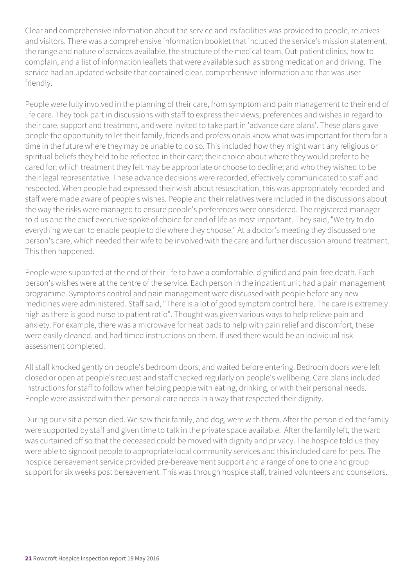Clear and comprehensive information about the service and its facilities was provided to people, relatives and visitors. There was a comprehensive information booklet that included the service's mission statement, the range and nature of services available, the structure of the medical team, Out-patient clinics, how to complain, and a list of information leaflets that were available such as strong medication and driving. The service had an updated website that contained clear, comprehensive information and that was userfriendly.

People were fully involved in the planning of their care, from symptom and pain management to their end of life care. They took part in discussions with staff to express their views, preferences and wishes in regard to their care, support and treatment, and were invited to take part in 'advance care plans'. These plans gave people the opportunity to let their family, friends and professionals know what was important for them for a time in the future where they may be unable to do so. This included how they might want any religious or spiritual beliefs they held to be reflected in their care; their choice about where they would prefer to be cared for; which treatment they felt may be appropriate or choose to decline; and who they wished to be their legal representative. These advance decisions were recorded, effectively communicated to staff and respected. When people had expressed their wish about resuscitation, this was appropriately recorded and staff were made aware of people's wishes. People and their relatives were included in the discussions about the way the risks were managed to ensure people's preferences were considered. The registered manager told us and the chief executive spoke of choice for end of life as most important. They said, "We try to do everything we can to enable people to die where they choose." At a doctor's meeting they discussed one person's care, which needed their wife to be involved with the care and further discussion around treatment. This then happened.

People were supported at the end of their life to have a comfortable, dignified and pain-free death. Each person's wishes were at the centre of the service. Each person in the inpatient unit had a pain management programme. Symptoms control and pain management were discussed with people before any new medicines were administered. Staff said, "There is a lot of good symptom control here. The care is extremely high as there is good nurse to patient ratio". Thought was given various ways to help relieve pain and anxiety. For example, there was a microwave for heat pads to help with pain relief and discomfort, these were easily cleaned, and had timed instructions on them. If used there would be an individual risk assessment completed.

All staff knocked gently on people's bedroom doors, and waited before entering. Bedroom doors were left closed or open at people's request and staff checked regularly on people's wellbeing. Care plans included instructions for staff to follow when helping people with eating, drinking, or with their personal needs. People were assisted with their personal care needs in a way that respected their dignity.

During our visit a person died. We saw their family, and dog, were with them. After the person died the family were supported by staff and given time to talk in the private space available. After the family left, the ward was curtained off so that the deceased could be moved with dignity and privacy. The hospice told us they were able to signpost people to appropriate local community services and this included care for pets. The hospice bereavement service provided pre-bereavement support and a range of one to one and group support for six weeks post bereavement. This was through hospice staff, trained volunteers and counsellors.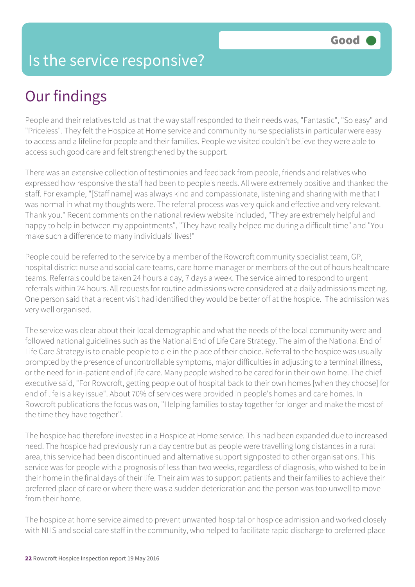### Is the service responsive?

# Our findings

People and their relatives told us that the way staff responded to their needs was, "Fantastic", "So easy" and "Priceless". They felt the Hospice at Home service and community nurse specialists in particular were easy to access and a lifeline for people and their families. People we visited couldn't believe they were able to access such good care and felt strengthened by the support.

There was an extensive collection of testimonies and feedback from people, friends and relatives who expressed how responsive the staff had been to people's needs. All were extremely positive and thanked the staff. For example, "[Staff name] was always kind and compassionate, listening and sharing with me that I was normal in what my thoughts were. The referral process was very quick and effective and very relevant. Thank you." Recent comments on the national review website included, "They are extremely helpful and happy to help in between my appointments", "They have really helped me during a difficult time" and "You make such a difference to many individuals' lives!"

People could be referred to the service by a member of the Rowcroft community specialist team, GP, hospital district nurse and social care teams, care home manager or members of the out of hours healthcare teams. Referrals could be taken 24 hours a day, 7 days a week. The service aimed to respond to urgent referrals within 24 hours. All requests for routine admissions were considered at a daily admissions meeting. One person said that a recent visit had identified they would be better off at the hospice. The admission was very well organised.

The service was clear about their local demographic and what the needs of the local community were and followed national guidelines such as the National End of Life Care Strategy. The aim of the National End of Life Care Strategy is to enable people to die in the place of their choice. Referral to the hospice was usually prompted by the presence of uncontrollable symptoms, major difficulties in adjusting to a terminal illness, or the need for in-patient end of life care. Many people wished to be cared for in their own home. The chief executive said, "For Rowcroft, getting people out of hospital back to their own homes [when they choose] for end of life is a key issue". About 70% of services were provided in people's homes and care homes. In Rowcroft publications the focus was on, "Helping families to stay together for longer and make the most of the time they have together".

The hospice had therefore invested in a Hospice at Home service. This had been expanded due to increased need. The hospice had previously run a day centre but as people were travelling long distances in a rural area, this service had been discontinued and alternative support signposted to other organisations. This service was for people with a prognosis of less than two weeks, regardless of diagnosis, who wished to be in their home in the final days of their life. Their aim was to support patients and their families to achieve their preferred place of care or where there was a sudden deterioration and the person was too unwell to move from their home.

The hospice at home service aimed to prevent unwanted hospital or hospice admission and worked closely with NHS and social care staff in the community, who helped to facilitate rapid discharge to preferred place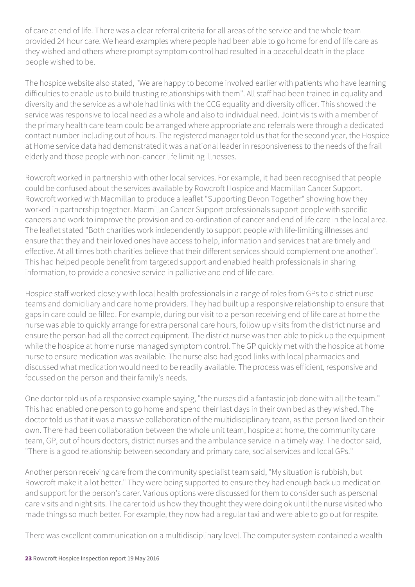of care at end of life. There was a clear referral criteria for all areas of the service and the whole team provided 24 hour care. We heard examples where people had been able to go home for end of life care as they wished and others where prompt symptom control had resulted in a peaceful death in the place people wished to be.

The hospice website also stated, "We are happy to become involved earlier with patients who have learning difficulties to enable us to build trusting relationships with them". All staff had been trained in equality and diversity and the service as a whole had links with the CCG equality and diversity officer. This showed the service was responsive to local need as a whole and also to individual need. Joint visits with a member of the primary health care team could be arranged where appropriate and referrals were through a dedicated contact number including out of hours. The registered manager told us that for the second year, the Hospice at Home service data had demonstrated it was a national leader in responsiveness to the needs of the frail elderly and those people with non-cancer life limiting illnesses.

Rowcroft worked in partnership with other local services. For example, it had been recognised that people could be confused about the services available by Rowcroft Hospice and Macmillan Cancer Support. Rowcroft worked with Macmillan to produce a leaflet "Supporting Devon Together" showing how they worked in partnership together. Macmillan Cancer Support professionals support people with specific cancers and work to improve the provision and co-ordination of cancer and end of life care in the local area. The leaflet stated "Both charities work independently to support people with life-limiting illnesses and ensure that they and their loved ones have access to help, information and services that are timely and effective. At all times both charities believe that their different services should complement one another". This had helped people benefit from targeted support and enabled health professionals in sharing information, to provide a cohesive service in palliative and end of life care.

Hospice staff worked closely with local health professionals in a range of roles from GPs to district nurse teams and domiciliary and care home providers. They had built up a responsive relationship to ensure that gaps in care could be filled. For example, during our visit to a person receiving end of life care at home the nurse was able to quickly arrange for extra personal care hours, follow up visits from the district nurse and ensure the person had all the correct equipment. The district nurse was then able to pick up the equipment while the hospice at home nurse managed symptom control. The GP quickly met with the hospice at home nurse to ensure medication was available. The nurse also had good links with local pharmacies and discussed what medication would need to be readily available. The process was efficient, responsive and focussed on the person and their family's needs.

One doctor told us of a responsive example saying, "the nurses did a fantastic job done with all the team." This had enabled one person to go home and spend their last days in their own bed as they wished. The doctor told us that it was a massive collaboration of the multidisciplinary team, as the person lived on their own. There had been collaboration between the whole unit team, hospice at home, the community care team, GP, out of hours doctors, district nurses and the ambulance service in a timely way. The doctor said, "There is a good relationship between secondary and primary care, social services and local GPs."

Another person receiving care from the community specialist team said, "My situation is rubbish, but Rowcroft make it a lot better." They were being supported to ensure they had enough back up medication and support for the person's carer. Various options were discussed for them to consider such as personal care visits and night sits. The carer told us how they thought they were doing ok until the nurse visited who made things so much better. For example, they now had a regular taxi and were able to go out for respite.

There was excellent communication on a multidisciplinary level. The computer system contained a wealth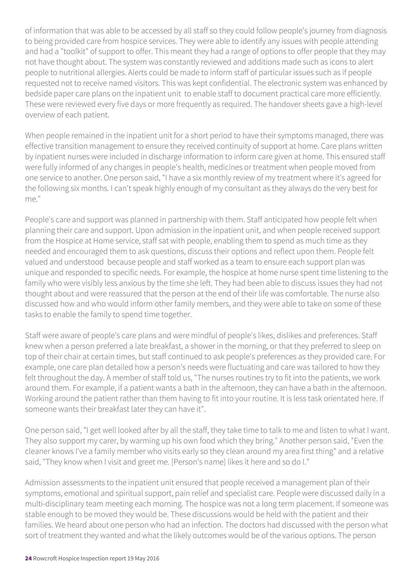of information that was able to be accessed by all staff so they could follow people's journey from diagnosis to being provided care from hospice services. They were able to identify any issues with people attending and had a "toolkit" of support to offer. This meant they had a range of options to offer people that they may not have thought about. The system was constantly reviewed and additions made such as icons to alert people to nutritional allergies. Alerts could be made to inform staff of particular issues such as if people requested not to receive named visitors. This was kept confidential. The electronic system was enhanced by bedside paper care plans on the inpatient unit to enable staff to document practical care more efficiently. These were reviewed every five days or more frequently as required. The handover sheets gave a high-level overview of each patient.

When people remained in the inpatient unit for a short period to have their symptoms managed, there was effective transition management to ensure they received continuity of support at home. Care plans written by inpatient nurses were included in discharge information to inform care given at home. This ensured staff were fully informed of any changes in people's health, medicines or treatment when people moved from one service to another. One person said, "I have a six monthly review of my treatment where it's agreed for the following six months. I can't speak highly enough of my consultant as they always do the very best for me."

People's care and support was planned in partnership with them. Staff anticipated how people felt when planning their care and support. Upon admission in the inpatient unit, and when people received support from the Hospice at Home service, staff sat with people, enabling them to spend as much time as they needed and encouraged them to ask questions, discuss their options and reflect upon them. People felt valued and understood because people and staff worked as a team to ensure each support plan was unique and responded to specific needs. For example, the hospice at home nurse spent time listening to the family who were visibly less anxious by the time she left. They had been able to discuss issues they had not thought about and were reassured that the person at the end of their life was comfortable. The nurse also discussed how and who would inform other family members, and they were able to take on some of these tasks to enable the family to spend time together.

Staff were aware of people's care plans and were mindful of people's likes, dislikes and preferences. Staff knew when a person preferred a late breakfast, a shower in the morning, or that they preferred to sleep on top of their chair at certain times, but staff continued to ask people's preferences as they provided care. For example, one care plan detailed how a person's needs were fluctuating and care was tailored to how they felt throughout the day. A member of staff told us, "The nurses routines try to fit into the patients, we work around them. For example, if a patient wants a bath in the afternoon, they can have a bath in the afternoon. Working around the patient rather than them having to fit into your routine. It is less task orientated here. If someone wants their breakfast later they can have it".

One person said, "I get well looked after by all the staff, they take time to talk to me and listen to what I want. They also support my carer, by warming up his own food which they bring." Another person said, "Even the cleaner knows I've a family member who visits early so they clean around my area first thing" and a relative said, "They know when I visit and greet me. [Person's name] likes it here and so do I."

Admission assessments to the inpatient unit ensured that people received a management plan of their symptoms, emotional and spiritual support, pain relief and specialist care. People were discussed daily in a multi-disciplinary team meeting each morning. The hospice was not a long term placement. If someone was stable enough to be moved they would be. These discussions would be held with the patient and their families. We heard about one person who had an infection. The doctors had discussed with the person what sort of treatment they wanted and what the likely outcomes would be of the various options. The person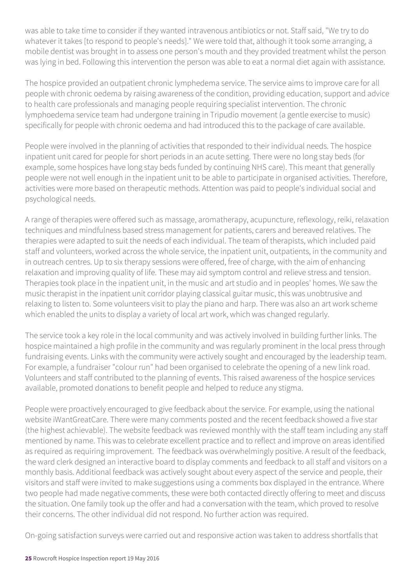was able to take time to consider if they wanted intravenous antibiotics or not. Staff said, "We try to do whatever it takes [to respond to people's needs]." We were told that, although it took some arranging, a mobile dentist was brought in to assess one person's mouth and they provided treatment whilst the person was lying in bed. Following this intervention the person was able to eat a normal diet again with assistance.

The hospice provided an outpatient chronic lymphedema service. The service aims to improve care for all people with chronic oedema by raising awareness of the condition, providing education, support and advice to health care professionals and managing people requiring specialist intervention. The chronic lymphoedema service team had undergone training in Tripudio movement (a gentle exercise to music) specifically for people with chronic oedema and had introduced this to the package of care available.

People were involved in the planning of activities that responded to their individual needs. The hospice inpatient unit cared for people for short periods in an acute setting. There were no long stay beds (for example, some hospices have long stay beds funded by continuing NHS care). This meant that generally people were not well enough in the inpatient unit to be able to participate in organised activities. Therefore, activities were more based on therapeutic methods. Attention was paid to people's individual social and psychological needs.

A range of therapies were offered such as massage, aromatherapy, acupuncture, reflexology, reiki, relaxation techniques and mindfulness based stress management for patients, carers and bereaved relatives. The therapies were adapted to suit the needs of each individual. The team of therapists, which included paid staff and volunteers, worked across the whole service, the inpatient unit, outpatients, in the community and in outreach centres. Up to six therapy sessions were offered, free of charge, with the aim of enhancing relaxation and improving quality of life. These may aid symptom control and relieve stress and tension. Therapies took place in the inpatient unit, in the music and art studio and in peoples' homes. We saw the music therapist in the inpatient unit corridor playing classical guitar music, this was unobtrusive and relaxing to listen to. Some volunteers visit to play the piano and harp. There was also an art work scheme which enabled the units to display a variety of local art work, which was changed regularly.

The service took a key role in the local community and was actively involved in building further links. The hospice maintained a high profile in the community and was regularly prominent in the local press through fundraising events. Links with the community were actively sought and encouraged by the leadership team. For example, a fundraiser "colour run" had been organised to celebrate the opening of a new link road. Volunteers and staff contributed to the planning of events. This raised awareness of the hospice services available, promoted donations to benefit people and helped to reduce any stigma.

People were proactively encouraged to give feedback about the service. For example, using the national website iWantGreatCare. There were many comments posted and the recent feedback showed a five star (the highest achievable). The website feedback was reviewed monthly with the staff team including any staff mentioned by name. This was to celebrate excellent practice and to reflect and improve on areas identified as required as requiring improvement. The feedback was overwhelmingly positive. A result of the feedback, the ward clerk designed an interactive board to display comments and feedback to all staff and visitors on a monthly basis. Additional feedback was actively sought about every aspect of the service and people, their visitors and staff were invited to make suggestions using a comments box displayed in the entrance. Where two people had made negative comments, these were both contacted directly offering to meet and discuss the situation. One family took up the offer and had a conversation with the team, which proved to resolve their concerns. The other individual did not respond. No further action was required.

On-going satisfaction surveys were carried out and responsive action was taken to address shortfalls that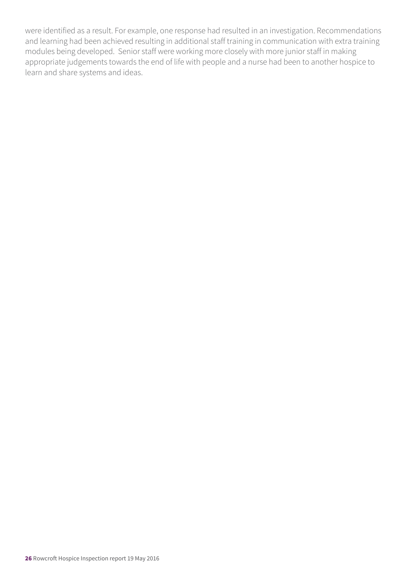were identified as a result. For example, one response had resulted in an investigation. Recommendations and learning had been achieved resulting in additional staff training in communication with extra training modules being developed. Senior staff were working more closely with more junior staff in making appropriate judgements towards the end of life with people and a nurse had been to another hospice to learn and share systems and ideas.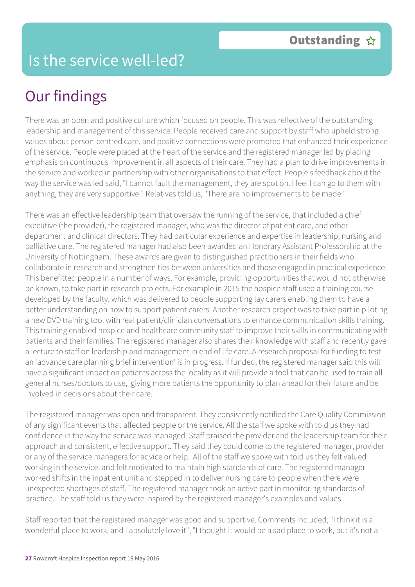# Our findings

There was an open and positive culture which focused on people. This was reflective of the outstanding leadership and management of this service. People received care and support by staff who upheld strong values about person-centred care, and positive connections were promoted that enhanced their experience of the service. People were placed at the heart of the service and the registered manager led by placing emphasis on continuous improvement in all aspects of their care. They had a plan to drive improvements in the service and worked in partnership with other organisations to that effect. People's feedback about the way the service was led said, "I cannot fault the management, they are spot on. I feel I can go to them with anything, they are very supportive." Relatives told us, "There are no improvements to be made."

There was an effective leadership team that oversaw the running of the service, that included a chief executive (the provider), the registered manager, who was the director of patient care, and other department and clinical directors. They had particular experience and expertise in leadership, nursing and palliative care. The registered manager had also been awarded an Honorary Assistant Professorship at the University of Nottingham. These awards are given to distinguished practitioners in their fields who collaborate in research and strengthen ties between universities and those engaged in practical experience. This benefitted people in a number of ways. For example, providing opportunities that would not otherwise be known, to take part in research projects. For example in 2015 the hospice staff used a training course developed by the faculty, which was delivered to people supporting lay carers enabling them to have a better understanding on how to support patient carers. Another research project was to take part in piloting a new DVD training tool with real patient/clinician conversations to enhance communication skills training. This training enabled hospice and healthcare community staff to improve their skills in communicating with patients and their families. The registered manager also shares their knowledge with staff and recently gave a lecture to staff on leadership and management in end of life care. A research proposal for funding to test an 'advance care planning brief intervention' is in progress. If funded, the registered manager said this will have a significant impact on patients across the locality as it will provide a tool that can be used to train all general nurses/doctors to use, giving more patients the opportunity to plan ahead for their future and be involved in decisions about their care.

The registered manager was open and transparent. They consistently notified the Care Quality Commission of any significant events that affected people or the service. All the staff we spoke with told us they had confidence in the way the service was managed. Staff praised the provider and the leadership team for their approach and consistent, effective support. They said they could come to the registered manager, provider or any of the service managers for advice or help. All of the staff we spoke with told us they felt valued working in the service, and felt motivated to maintain high standards of care. The registered manager worked shifts in the inpatient unit and stepped in to deliver nursing care to people when there were unexpected shortages of staff. The registered manager took an active part in monitoring standards of practice. The staff told us they were inspired by the registered manager's examples and values.

Staff reported that the registered manager was good and supportive. Comments included, "I think it is a wonderful place to work, and I absolutely love it", "I thought it would be a sad place to work, but it's not a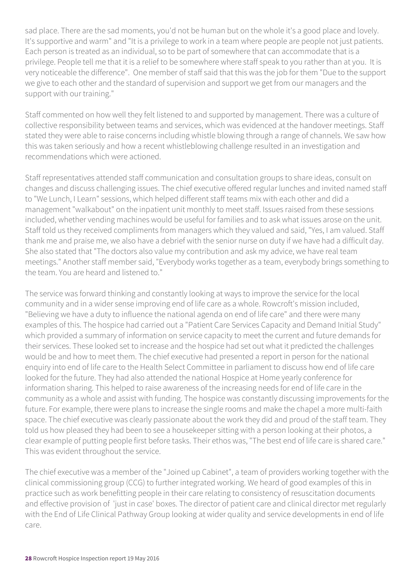sad place. There are the sad moments, you'd not be human but on the whole it's a good place and lovely. It's supportive and warm" and "It is a privilege to work in a team where people are people not just patients. Each person is treated as an individual, so to be part of somewhere that can accommodate that is a privilege. People tell me that it is a relief to be somewhere where staff speak to you rather than at you. It is very noticeable the difference". One member of staff said that this was the job for them "Due to the support we give to each other and the standard of supervision and support we get from our managers and the support with our training."

Staff commented on how well they felt listened to and supported by management. There was a culture of collective responsibility between teams and services, which was evidenced at the handover meetings. Staff stated they were able to raise concerns including whistle blowing through a range of channels. We saw how this was taken seriously and how a recent whistleblowing challenge resulted in an investigation and recommendations which were actioned.

Staff representatives attended staff communication and consultation groups to share ideas, consult on changes and discuss challenging issues. The chief executive offered regular lunches and invited named staff to "We Lunch, I Learn" sessions, which helped different staff teams mix with each other and did a management "walkabout" on the inpatient unit monthly to meet staff. Issues raised from these sessions included, whether vending machines would be useful for families and to ask what issues arose on the unit. Staff told us they received compliments from managers which they valued and said, "Yes, I am valued. Staff thank me and praise me, we also have a debrief with the senior nurse on duty if we have had a difficult day. She also stated that "The doctors also value my contribution and ask my advice, we have real team meetings." Another staff member said, "Everybody works together as a team, everybody brings something to the team. You are heard and listened to."

The service was forward thinking and constantly looking at ways to improve the service for the local community and in a wider sense improving end of life care as a whole. Rowcroft's mission included, "Believing we have a duty to influence the national agenda on end of life care" and there were many examples of this. The hospice had carried out a "Patient Care Services Capacity and Demand Initial Study" which provided a summary of information on service capacity to meet the current and future demands for their services. These looked set to increase and the hospice had set out what it predicted the challenges would be and how to meet them. The chief executive had presented a report in person for the national enquiry into end of life care to the Health Select Committee in parliament to discuss how end of life care looked for the future. They had also attended the national Hospice at Home yearly conference for information sharing. This helped to raise awareness of the increasing needs for end of life care in the community as a whole and assist with funding. The hospice was constantly discussing improvements for the future. For example, there were plans to increase the single rooms and make the chapel a more multi-faith space. The chief executive was clearly passionate about the work they did and proud of the staff team. They told us how pleased they had been to see a housekeeper sitting with a person looking at their photos, a clear example of putting people first before tasks. Their ethos was, "The best end of life care is shared care." This was evident throughout the service.

The chief executive was a member of the "Joined up Cabinet", a team of providers working together with the clinical commissioning group (CCG) to further integrated working. We heard of good examples of this in practice such as work benefitting people in their care relating to consistency of resuscitation documents and effective provision of 'just in case' boxes. The director of patient care and clinical director met regularly with the End of Life Clinical Pathway Group looking at wider quality and service developments in end of life care.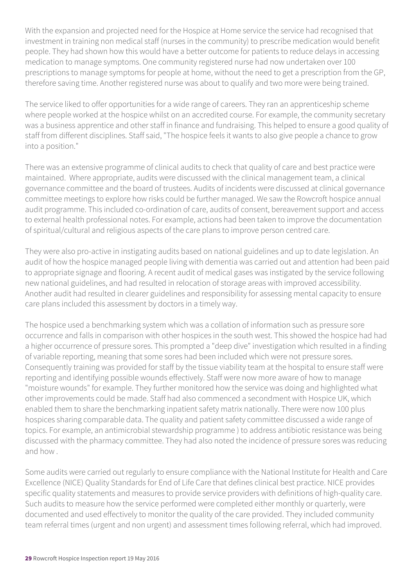With the expansion and projected need for the Hospice at Home service the service had recognised that investment in training non medical staff (nurses in the community) to prescribe medication would benefit people. They had shown how this would have a better outcome for patients to reduce delays in accessing medication to manage symptoms. One community registered nurse had now undertaken over 100 prescriptions to manage symptoms for people at home, without the need to get a prescription from the GP, therefore saving time. Another registered nurse was about to qualify and two more were being trained.

The service liked to offer opportunities for a wide range of careers. They ran an apprenticeship scheme where people worked at the hospice whilst on an accredited course. For example, the community secretary was a business apprentice and other staff in finance and fundraising. This helped to ensure a good quality of staff from different disciplines. Staff said, "The hospice feels it wants to also give people a chance to grow into a position."

There was an extensive programme of clinical audits to check that quality of care and best practice were maintained. Where appropriate, audits were discussed with the clinical management team, a clinical governance committee and the board of trustees. Audits of incidents were discussed at clinical governance committee meetings to explore how risks could be further managed. We saw the Rowcroft hospice annual audit programme. This included co-ordination of care, audits of consent, bereavement support and access to external health professional notes. For example, actions had been taken to improve the documentation of spiritual/cultural and religious aspects of the care plans to improve person centred care.

They were also pro-active in instigating audits based on national guidelines and up to date legislation. An audit of how the hospice managed people living with dementia was carried out and attention had been paid to appropriate signage and flooring. A recent audit of medical gases was instigated by the service following new national guidelines, and had resulted in relocation of storage areas with improved accessibility. Another audit had resulted in clearer guidelines and responsibility for assessing mental capacity to ensure care plans included this assessment by doctors in a timely way.

The hospice used a benchmarking system which was a collation of information such as pressure sore occurrence and falls in comparison with other hospices in the south west. This showed the hospice had had a higher occurrence of pressure sores. This prompted a "deep dive" investigation which resulted in a finding of variable reporting, meaning that some sores had been included which were not pressure sores. Consequently training was provided for staff by the tissue viability team at the hospital to ensure staff were reporting and identifying possible wounds effectively. Staff were now more aware of how to manage "moisture wounds" for example. They further monitored how the service was doing and highlighted what other improvements could be made. Staff had also commenced a secondment with Hospice UK, which enabled them to share the benchmarking inpatient safety matrix nationally. There were now 100 plus hospices sharing comparable data. The quality and patient safety committee discussed a wide range of topics. For example, an antimicrobial stewardship programme ) to address antibiotic resistance was being discussed with the pharmacy committee. They had also noted the incidence of pressure sores was reducing and how .

Some audits were carried out regularly to ensure compliance with the National Institute for Health and Care Excellence (NICE) Quality Standards for End of Life Care that defines clinical best practice. NICE provides specific quality statements and measures to provide service providers with definitions of high-quality care. Such audits to measure how the service performed were completed either monthly or quarterly, were documented and used effectively to monitor the quality of the care provided. They included community team referral times (urgent and non urgent) and assessment times following referral, which had improved.